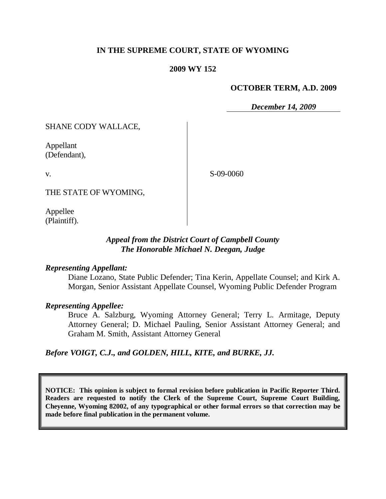## **IN THE SUPREME COURT, STATE OF WYOMING**

#### **2009 WY 152**

#### **OCTOBER TERM, A.D. 2009**

*December 14, 2009*

SHANE CODY WALLACE,

Appellant (Defendant),

v.

S-09-0060

THE STATE OF WYOMING,

Appellee (Plaintiff).

## *Appeal from the District Court of Campbell County The Honorable Michael N. Deegan, Judge*

#### *Representing Appellant:*

Diane Lozano, State Public Defender; Tina Kerin, Appellate Counsel; and Kirk A. Morgan, Senior Assistant Appellate Counsel, Wyoming Public Defender Program

#### *Representing Appellee:*

Bruce A. Salzburg, Wyoming Attorney General; Terry L. Armitage, Deputy Attorney General; D. Michael Pauling, Senior Assistant Attorney General; and Graham M. Smith, Assistant Attorney General

*Before VOIGT, C.J., and GOLDEN, HILL, KITE, and BURKE, JJ.*

**NOTICE: This opinion is subject to formal revision before publication in Pacific Reporter Third. Readers are requested to notify the Clerk of the Supreme Court, Supreme Court Building, Cheyenne, Wyoming 82002, of any typographical or other formal errors so that correction may be made before final publication in the permanent volume.**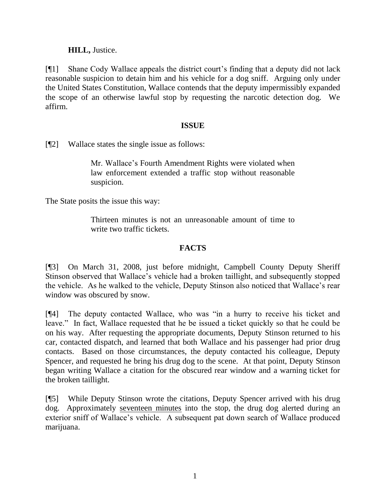# **HILL,** Justice.

[¶1] Shane Cody Wallace appeals the district court"s finding that a deputy did not lack reasonable suspicion to detain him and his vehicle for a dog sniff. Arguing only under the United States Constitution, Wallace contends that the deputy impermissibly expanded the scope of an otherwise lawful stop by requesting the narcotic detection dog. We affirm.

## **ISSUE**

[¶2] Wallace states the single issue as follows:

Mr. Wallace"s Fourth Amendment Rights were violated when law enforcement extended a traffic stop without reasonable suspicion.

The State posits the issue this way:

Thirteen minutes is not an unreasonable amount of time to write two traffic tickets.

# **FACTS**

[¶3] On March 31, 2008, just before midnight, Campbell County Deputy Sheriff Stinson observed that Wallace"s vehicle had a broken taillight, and subsequently stopped the vehicle. As he walked to the vehicle, Deputy Stinson also noticed that Wallace"s rear window was obscured by snow.

[¶4] The deputy contacted Wallace, who was "in a hurry to receive his ticket and leave." In fact, Wallace requested that he be issued a ticket quickly so that he could be on his way. After requesting the appropriate documents, Deputy Stinson returned to his car, contacted dispatch, and learned that both Wallace and his passenger had prior drug contacts. Based on those circumstances, the deputy contacted his colleague, Deputy Spencer, and requested he bring his drug dog to the scene. At that point, Deputy Stinson began writing Wallace a citation for the obscured rear window and a warning ticket for the broken taillight.

[¶5] While Deputy Stinson wrote the citations, Deputy Spencer arrived with his drug dog. Approximately seventeen minutes into the stop, the drug dog alerted during an exterior sniff of Wallace"s vehicle. A subsequent pat down search of Wallace produced marijuana.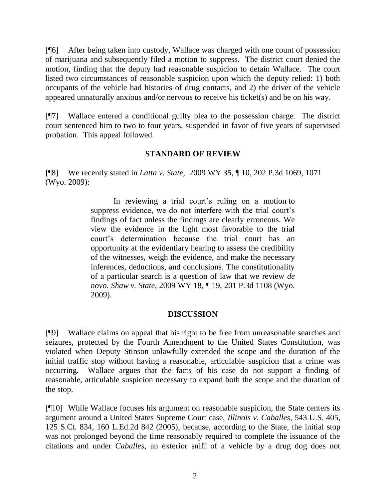[¶6] After being taken into custody, Wallace was charged with one count of possession of marijuana and subsequently filed a motion to suppress. The district court denied the motion, finding that the deputy had reasonable suspicion to detain Wallace. The court listed two circumstances of reasonable suspicion upon which the deputy relied: 1) both occupants of the vehicle had histories of drug contacts, and 2) the driver of the vehicle appeared unnaturally anxious and/or nervous to receive his ticket(s) and be on his way.

[¶7] Wallace entered a conditional guilty plea to the possession charge. The district court sentenced him to two to four years, suspended in favor of five years of supervised probation. This appeal followed.

## **STANDARD OF REVIEW**

**[**¶8] We recently stated in *Latta v. State,* 2009 WY 35, ¶ 10, 202 P.3d 1069, 1071 (Wyo. 2009):

> In reviewing a trial court's ruling on a motion to suppress evidence, we do not interfere with the trial court's findings of fact unless the findings are clearly erroneous. We view the evidence in the light most favorable to the trial court"s determination because the trial court has an opportunity at the evidentiary hearing to assess the credibility of the witnesses, weigh the evidence, and make the necessary inferences, deductions, and conclusions. The constitutionality of a particular search is a question of law that we review *de novo. Shaw v. State*, 2009 WY 18, ¶ 19, 201 P.3d 1108 (Wyo. 2009).

# **DISCUSSION**

[¶9] Wallace claims on appeal that his right to be free from unreasonable searches and seizures, protected by the Fourth Amendment to the United States Constitution, was violated when Deputy Stinson unlawfully extended the scope and the duration of the initial traffic stop without having a reasonable, articulable suspicion that a crime was occurring. Wallace argues that the facts of his case do not support a finding of reasonable, articulable suspicion necessary to expand both the scope and the duration of the stop.

[¶10] While Wallace focuses his argument on reasonable suspicion, the State centers its argument around a United States Supreme Court case, *Illinois v. Caballes,* 543 U.S. 405, 125 S.Ct. 834, 160 L.Ed.2d 842 (2005)*,* because, according to the State, the initial stop was not prolonged beyond the time reasonably required to complete the issuance of the citations and under *Caballes,* an exterior sniff of a vehicle by a drug dog does not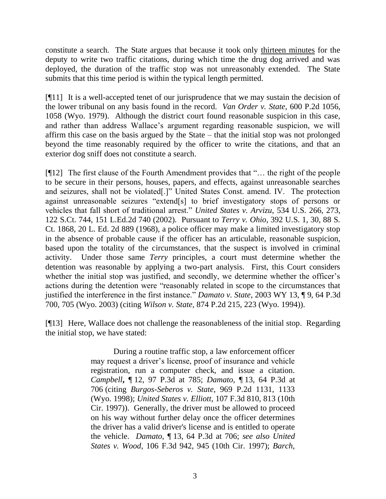constitute a search. The State argues that because it took only thirteen minutes for the deputy to write two traffic citations, during which time the drug dog arrived and was deployed, the duration of the traffic stop was not unreasonably extended. The State submits that this time period is within the typical length permitted.

[¶11] It is a well-accepted tenet of our jurisprudence that we may sustain the decision of the lower tribunal on any basis found in the record. *Van Order v. State*, 600 P.2d 1056, 1058 (Wyo. 1979). Although the district court found reasonable suspicion in this case, and rather than address Wallace"s argument regarding reasonable suspicion, we will affirm this case on the basis argued by the State – that the initial stop was not prolonged beyond the time reasonably required by the officer to write the citations, and that an exterior dog sniff does not constitute a search.

[¶12] The first clause of the Fourth Amendment provides that "… the right of the people to be secure in their persons, houses, papers, and effects, against unreasonable searches and seizures, shall not be violated[.]" United States Const. amend. IV. The protection against unreasonable seizures "extend[s] to brief investigatory stops of persons or vehicles that fall short of traditional arrest." *United States v. Arvizu*, 534 U.S. 266, 273, 122 S.Ct. 744, 151 L.Ed.2d 740 (2002). Pursuant to *Terry v. Ohio*, 392 U.S. 1, 30, 88 S. Ct. 1868, 20 L. Ed. 2d 889 (1968), a police officer may make a limited investigatory stop in the absence of probable cause if the officer has an articulable, reasonable suspicion, based upon the totality of the circumstances, that the suspect is involved in criminal activity. Under those same *Terry* principles, a court must determine whether the detention was reasonable by applying a two-part analysis. First, this Court considers whether the initial stop was justified, and secondly, we determine whether the officer's actions during the detention were "reasonably related in scope to the circumstances that justified the interference in the first instance." *Damato v. State*, 2003 WY 13, ¶ 9, 64 P.3d 700, 705 (Wyo. 2003) (citing *Wilson v. State*, 874 P.2d 215, 223 (Wyo. 1994)).

[¶13] Here, Wallace does not challenge the reasonableness of the initial stop. Regarding the initial stop, we have stated:

> During a routine traffic stop, a law enforcement officer may request a driver"s license, proof of insurance and vehicle registration, run a computer check, and issue a citation. *Campbell***,** ¶ 12, 97 P.3d at 785; *Damato*, ¶ 13, 64 P.3d at 706 (citing *Burgos-Seberos v. State*, 969 P.2d 1131, 1133 (Wyo. 1998); *United States v. Elliott*, 107 F.3d 810, 813 (10th Cir. 1997)). Generally, the driver must be allowed to proceed on his way without further delay once the officer determines the driver has a valid driver's license and is entitled to operate the vehicle. *Damato*, ¶ 13, 64 P.3d at 706; *see also United States v. Wood*, 106 F.3d 942, 945 (10th Cir. 1997); *Barch*,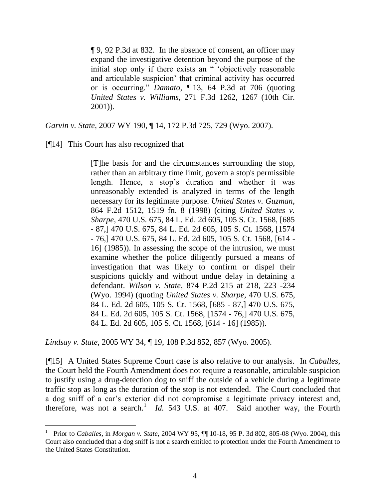¶ 9, 92 P.3d at 832. In the absence of consent, an officer may expand the investigative detention beyond the purpose of the initial stop only if there exists an " "objectively reasonable and articulable suspicion" that criminal activity has occurred or is occurring." *Damato*, ¶ 13, 64 P.3d at 706 (quoting *United States v. Williams*, 271 F.3d 1262, 1267 (10th Cir. 2001)).

*Garvin v. State*, 2007 WY 190, ¶ 14, 172 P.3d 725, 729 (Wyo. 2007).

# [¶14] This Court has also recognized that

 $\overline{a}$ 

[T]he basis for and the circumstances surrounding the stop, rather than an arbitrary time limit, govern a stop's permissible length. Hence, a stop"s duration and whether it was unreasonably extended is analyzed in terms of the length necessary for its legitimate purpose. *United States v. Guzman*, 864 F.2d 1512, 1519 fn. 8 (1998) (citing *United States v. Sharpe*, 470 U.S. 675, 84 L. Ed. 2d 605, 105 S. Ct. 1568, [685 - 87,] 470 U.S. 675, 84 L. Ed. 2d 605, 105 S. Ct. 1568, [1574 - 76,] 470 U.S. 675, 84 L. Ed. 2d 605, 105 S. Ct. 1568, [614 - 16] (1985)). In assessing the scope of the intrusion, we must examine whether the police diligently pursued a means of investigation that was likely to confirm or dispel their suspicions quickly and without undue delay in detaining a defendant. *Wilson v. State*, 874 P.2d 215 at 218, 223 -234 (Wyo. 1994) (quoting *United States v. Sharpe*, 470 U.S. 675, 84 L. Ed. 2d 605, 105 S. Ct. 1568, [685 - 87,] 470 U.S. 675, 84 L. Ed. 2d 605, 105 S. Ct. 1568, [1574 - 76,] 470 U.S. 675, 84 L. Ed. 2d 605, 105 S. Ct. 1568, [614 - 16] (1985)).

*Lindsay v. State*, 2005 WY 34, ¶ 19, 108 P.3d 852, 857 (Wyo. 2005).

[¶15] A United States Supreme Court case is also relative to our analysis. In *Caballes*, the Court held the Fourth Amendment does not require a reasonable, articulable suspicion to justify using a drug-detection dog to sniff the outside of a vehicle during a legitimate traffic stop as long as the duration of the stop is not extended. The Court concluded that a dog sniff of a car"s exterior did not compromise a legitimate privacy interest and, therefore, was not a search.<sup>1</sup> *Id.* 543 U.S. at 407. Said another way, the Fourth

<sup>1</sup> Prior to *Caballes,* in *Morgan v. State*, 2004 WY 95, ¶¶ 10-18, 95 P. 3d 802, 805-08 (Wyo. 2004), this Court also concluded that a dog sniff is not a search entitled to protection under the Fourth Amendment to the United States Constitution.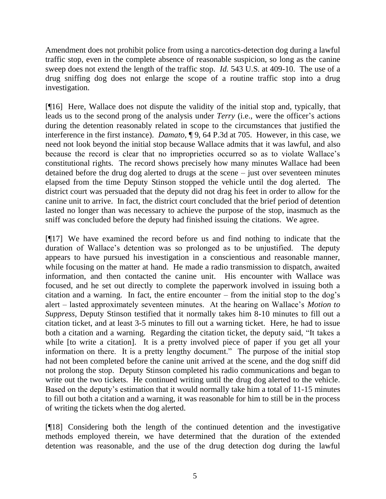Amendment does not prohibit police from using a narcotics-detection dog during a lawful traffic stop, even in the complete absence of reasonable suspicion, so long as the canine sweep does not extend the length of the traffic stop. *Id.* 543 U.S. at 409-10. The use of a drug sniffing dog does not enlarge the scope of a routine traffic stop into a drug investigation.

[¶16] Here, Wallace does not dispute the validity of the initial stop and, typically, that leads us to the second prong of the analysis under *Terry* (i.e., were the officer"s actions during the detention reasonably related in scope to the circumstances that justified the interference in the first instance). *Damato,* ¶ 9, 64 P.3d at 705. However, in this case, we need not look beyond the initial stop because Wallace admits that it was lawful, and also because the record is clear that no improprieties occurred so as to violate Wallace"s constitutional rights. The record shows precisely how many minutes Wallace had been detained before the drug dog alerted to drugs at the scene – just over seventeen minutes elapsed from the time Deputy Stinson stopped the vehicle until the dog alerted. The district court was persuaded that the deputy did not drag his feet in order to allow for the canine unit to arrive. In fact, the district court concluded that the brief period of detention lasted no longer than was necessary to achieve the purpose of the stop, inasmuch as the sniff was concluded before the deputy had finished issuing the citations. We agree.

[¶17] We have examined the record before us and find nothing to indicate that the duration of Wallace"s detention was so prolonged as to be unjustified. The deputy appears to have pursued his investigation in a conscientious and reasonable manner, while focusing on the matter at hand. He made a radio transmission to dispatch, awaited information, and then contacted the canine unit. His encounter with Wallace was focused, and he set out directly to complete the paperwork involved in issuing both a citation and a warning. In fact, the entire encounter – from the initial stop to the dog"s alert – lasted approximately seventeen minutes. At the hearing on Wallace"s *Motion to Suppress*, Deputy Stinson testified that it normally takes him 8-10 minutes to fill out a citation ticket, and at least 3-5 minutes to fill out a warning ticket. Here, he had to issue both a citation and a warning. Regarding the citation ticket, the deputy said, "It takes a while [to write a citation]. It is a pretty involved piece of paper if you get all your information on there. It is a pretty lengthy document." The purpose of the initial stop had not been completed before the canine unit arrived at the scene, and the dog sniff did not prolong the stop. Deputy Stinson completed his radio communications and began to write out the two tickets. He continued writing until the drug dog alerted to the vehicle. Based on the deputy's estimation that it would normally take him a total of 11-15 minutes to fill out both a citation and a warning, it was reasonable for him to still be in the process of writing the tickets when the dog alerted.

[¶18] Considering both the length of the continued detention and the investigative methods employed therein, we have determined that the duration of the extended detention was reasonable, and the use of the drug detection dog during the lawful